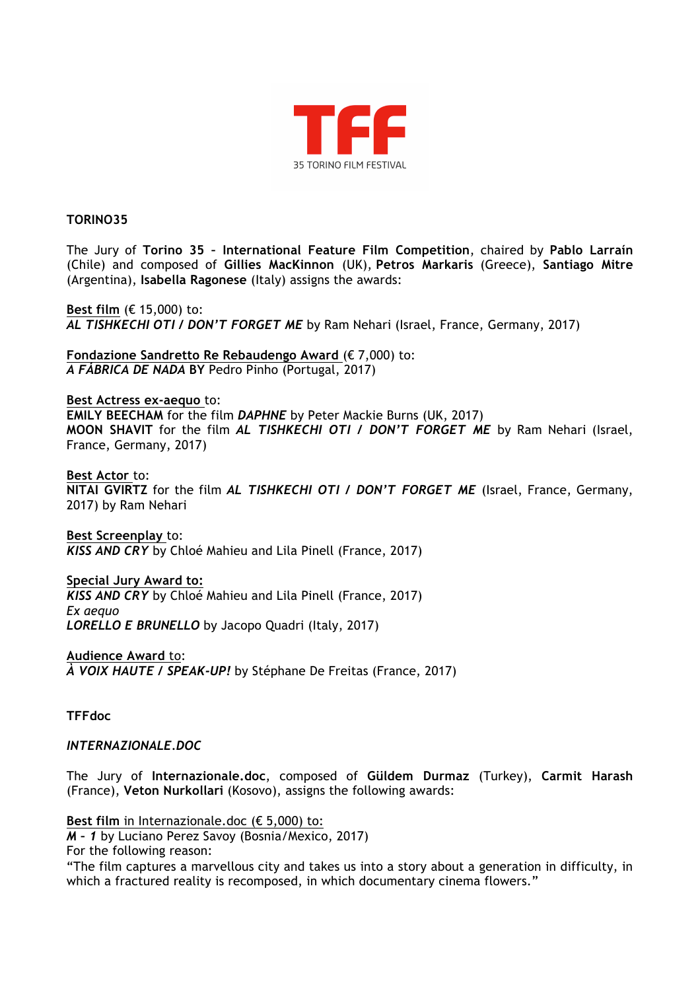

## **TORINO35**

The Jury of **Torino 35 – International Feature Film Competition**, chaired by **Pablo Larraín** (Chile) and composed of **Gillies MacKinnon** (UK), **Petros Markaris** (Greece), **Santiago Mitre**  (Argentina), **Isabella Ragonese** (Italy) assigns the awards:

**Best film** (€ 15,000) to: *AL TISHKECHI OTI / DON'T FORGET ME* by Ram Nehari (Israel, France, Germany, 2017)

**Fondazione Sandretto Re Rebaudengo Award** (€ 7,000) to: *A FÁBRICA DE NADA* **BY** Pedro Pinho (Portugal, 2017)

**Best Actress ex-aequo** to: **EMILY BEECHAM** for the film *DAPHNE* by Peter Mackie Burns (UK, 2017) **MOON SHAVIT** for the film *AL TISHKECHI OTI / DON'T FORGET ME* by Ram Nehari (Israel, France, Germany, 2017)

**Best Actor** to: **NITAI GVIRTZ** for the film *AL TISHKECHI OTI / DON'T FORGET ME* (Israel, France, Germany, 2017) by Ram Nehari

**Best Screenplay** to: *KISS AND CRY* by Chloé Mahieu and Lila Pinell (France, 2017)

**Special Jury Award to:** *KISS AND CRY* by Chloé Mahieu and Lila Pinell (France, 2017) *Ex aequo LORELLO E BRUNELLO* by Jacopo Quadri (Italy, 2017)

**Audience Award** to: *À VOIX HAUTE / SPEAK-UP!* by Stéphane De Freitas (France, 2017)

**TFFdoc**

*INTERNAZIONALE.DOC*

The Jury of **Internazionale.doc**, composed of **Güldem Durmaz** (Turkey), **Carmit Harash**  (France), **Veton Nurkollari** (Kosovo), assigns the following awards:

**Best film** in Internazionale.doc (€ 5,000) to:

*M – 1* by Luciano Perez Savoy (Bosnia/Mexico, 2017)

For the following reason:

"The film captures a marvellous city and takes us into a story about a generation in difficulty, in which a fractured reality is recomposed, in which documentary cinema flowers."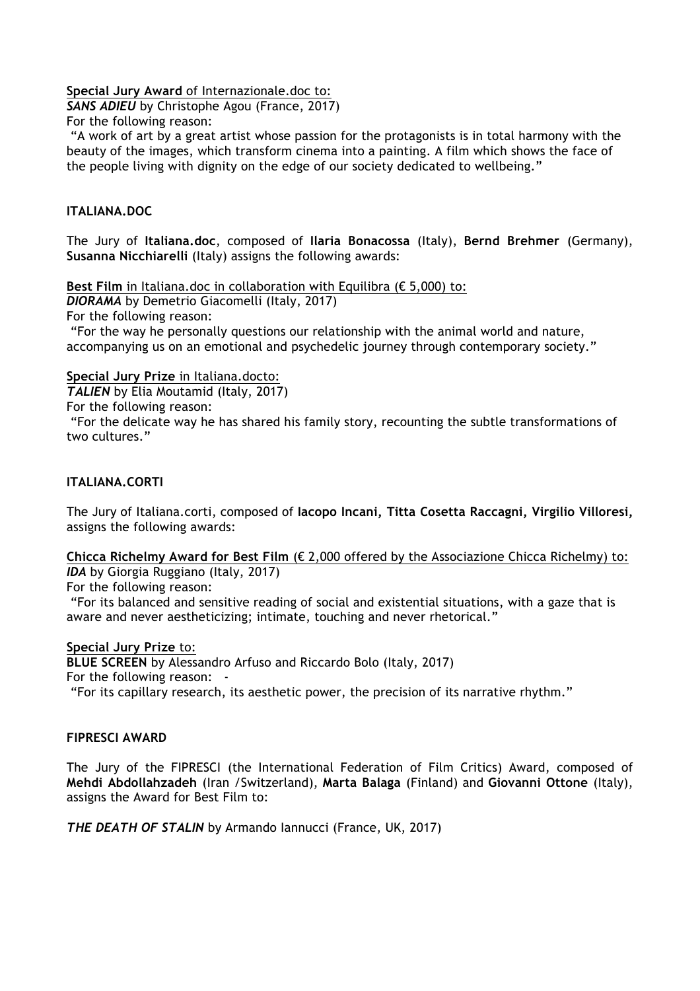**Special Jury Award** of Internazionale.doc to:

*SANS ADIEU* by Christophe Agou (France, 2017)

For the following reason:

"A work of art by a great artist whose passion for the protagonists is in total harmony with the beauty of the images, which transform cinema into a painting. A film which shows the face of the people living with dignity on the edge of our society dedicated to wellbeing."

# **ITALIANA.DOC**

The Jury of **Italiana.doc**, composed of **Ilaria Bonacossa** (Italy), **Bernd Brehmer** (Germany), **Susanna Nicchiarelli** (Italy) assigns the following awards:

**Best Film** in Italiana.doc in collaboration with Equilibra ( $\epsilon$  5,000) to:

*DIORAMA* by Demetrio Giacomelli (Italy, 2017)

For the following reason:

"For the way he personally questions our relationship with the animal world and nature, accompanying us on an emotional and psychedelic journey through contemporary society."

**Special Jury Prize** in Italiana.docto:

*TALIEN* by Elia Moutamid (Italy, 2017)

For the following reason:

"For the delicate way he has shared his family story, recounting the subtle transformations of two cultures."

# **ITALIANA.CORTI**

The Jury of Italiana.corti, composed of **Iacopo Incani, Titta Cosetta Raccagni, Virgilio Villoresi,** assigns the following awards:

### **Chicca Richelmy Award for Best Film** (€ 2,000 offered by the Associazione Chicca Richelmy) to: *IDA* by Giorgia Ruggiano (Italy, 2017)

For the following reason:

"For its balanced and sensitive reading of social and existential situations, with a gaze that is aware and never aestheticizing; intimate, touching and never rhetorical."

# **Special Jury Prize** to:

**BLUE SCREEN** by Alessandro Arfuso and Riccardo Bolo (Italy, 2017)

For the following reason:

"For its capillary research, its aesthetic power, the precision of its narrative rhythm."

# **FIPRESCI AWARD**

The Jury of the FIPRESCI (the International Federation of Film Critics) Award, composed of **Mehdi Abdollahzadeh** (Iran /Switzerland), **Marta Balaga** (Finland) and **Giovanni Ottone** (Italy), assigns the Award for Best Film to:

*THE DEATH OF STALIN* by Armando Iannucci (France, UK, 2017)